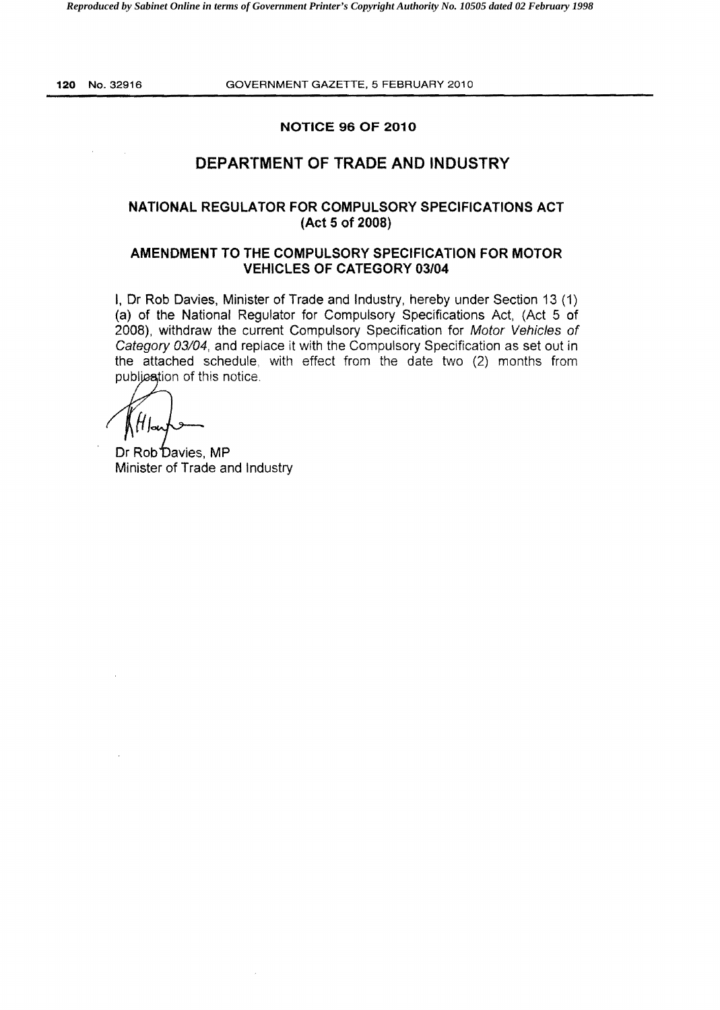### **NOTICE 96 OF 2010**

## **DEPARTMENT OF TRADE AND INDUSTRY**

## **NATIONAL REGULATOR FOR COMPULSORY SPECIFICATIONS ACT (Act 5 of 2008)**

## **AMENDMENT TO THE COMPULSORY SPECIFICATION FOR MOTOR VEHICLES OF CATEGORY 03/04**

I, Dr **Rob** Davies, Minister of Trade and Industry, hereby under Section 13 (1) (a) of the National Regulator for Compulsory Specifications Act, (Act 5 of 2008), withdraw the current Compulsory Specification for Motor Vehicles of Category 03/04, and replace it with the Compulsory Specification as set out in the attached schedule, with effect from the date two (2) months from publication of this notice.

H.

Dr Rob Davies, MP Minister of Trade and Industry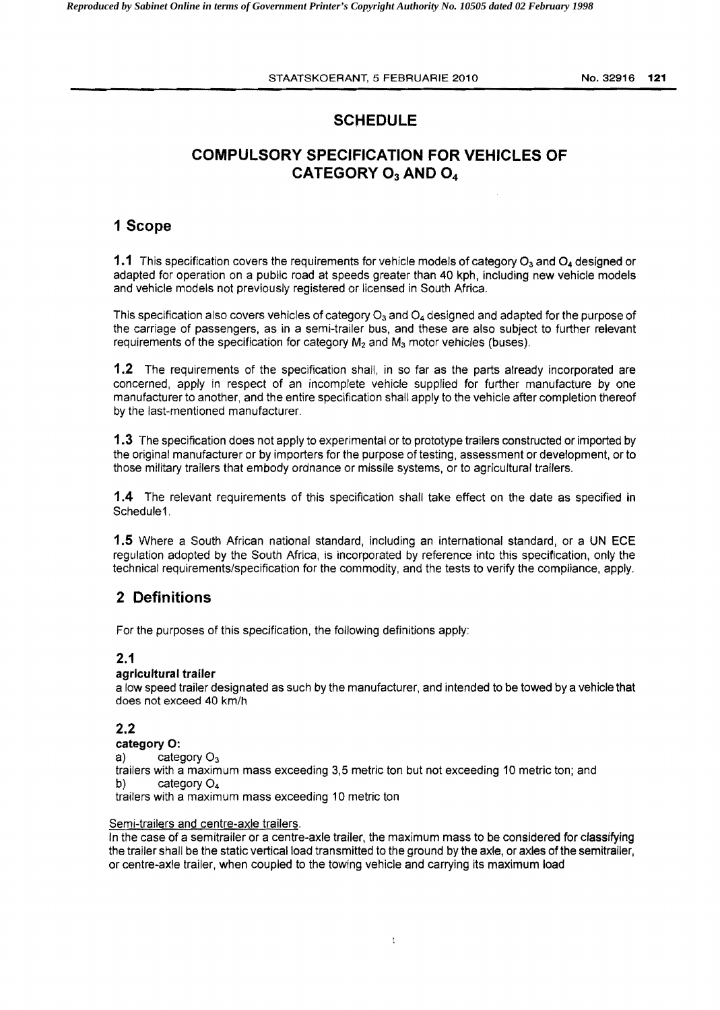# **SCHEDULE**

# **COMPULSORY SPECIFICATION FOR VEHICLES OF** CATEGORY O<sub>3</sub> AND O<sub>4</sub>

## **1 Scope**

**1.1** This specification covers the requirements for vehicle models of category O<sub>3</sub> and O<sub>4</sub> designed or adapted for operation on a public road at speeds greater than 40 kph, including new vehicle models and vehicle models not previously registered or licensed in South Africa.

This specification also covers vehicles of category  $O_3$  and  $O_4$  designed and adapted for the purpose of the carriage of passengers, as in a semi-trailer bus, and these are also subject to further relevant requirements of the specification for category  $M_2$  and  $M_3$  motor vehicles (buses).

**1.2** The requirements of the specification shall, in so far as the parts already incorporated are concerned, apply in respect of an incomplete vehicle supplied for further manufacture by one manufacturer to another, and the entire specification shall apply to the vehicle after completion thereof by the last-mentioned manufacturer.

**1.3** The specification does not apply to experimental or to prototype trailers constructed or imported by the original manufacturer or by importers for the purpose of testing, assessment or development. or to those military trailers that embody ordnance or missile systems, or to agricultural trailers.

**1.4** The relevant requirements of this specification shall take effect on the date as specified in Schedule1.

**1.5** Where a South African national standard, including an international standard, or a UN **ECE**  regulation adopted by the South Africa, is incorporated by reference into this specification, only the technical requirements/specification for the commodity, and the tests to verify the compliance, apply.

# **2 Definitions**

For the purposes of this specification, the following definitions apply:

## **2.1**

### **agricultural trailer**

a low speed trailer designated as such by the manufacturer, and intended to be towed by a vehicle that does not exceed 40 km/h

## **2.2**

**category** 0:

a) category  $O_3$  trailers with a maximum mass exceeding 3,5 metric ton but not exceeding 10 metric ton; and b) category  $O_4$ trailers with a maximum mass exceeding 10 metric ton

#### Semi-trailers and centre-axle trailers.

In the case of a semitrailer or a centre-axle trailer, the maximum mass to be considered for classifying the trailer shall be the static vertical load transmitted to the ground by the axle, or axles ofthe semitrailer, or centre-axle trailer, when coupled to the towing vehicle and carrying its maximum load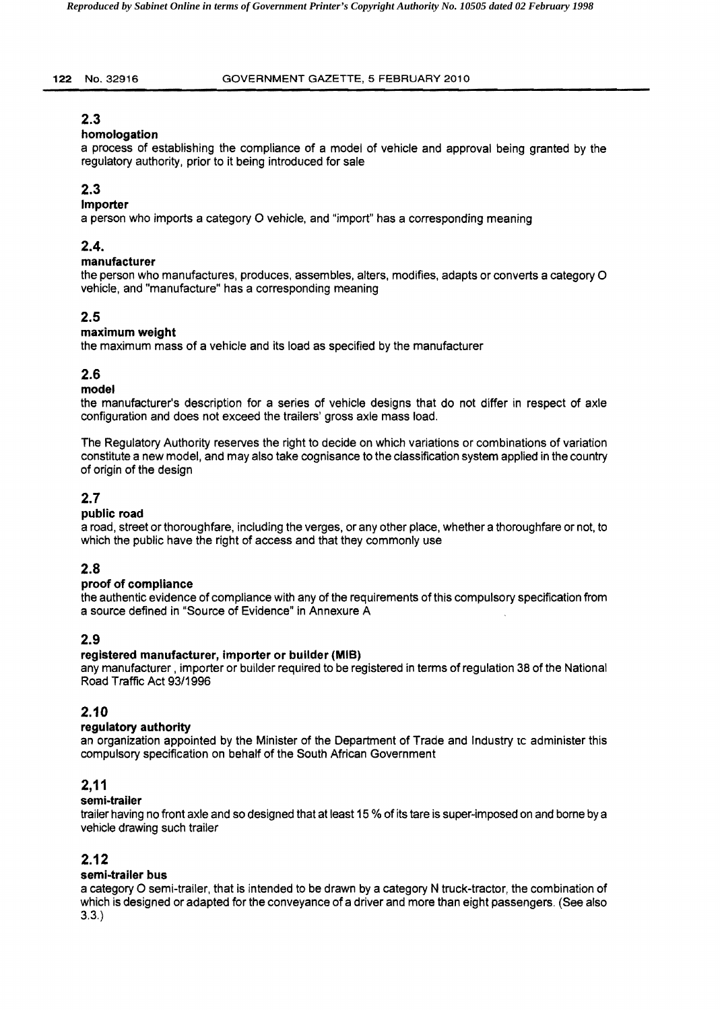## **2.3**

### **homologation**

a process of establishing the compliance of a model of vehicle and approval being granted by the regulatory authority, prior to it being introduced for sale

# **2.3**

## **Importer**

a person who imports a category 0 vehicle, and "import" has a corresponding meaning

## **2.4.**

## **manufacturer**

the person who manufactures, produces, assembles, alters, modifies, adapts or converts a category 0 vehicle, and "manufacture" has a corresponding meaning

## **2.5**

## **maximum weight**

the maximum mass of a vehicle and its load as specified by the manufacturer

## **2.6**

## **model**

the manufacturer's description for a series of vehicle designs that do not differ in respect of axle configuration and does not exceed the trailers' gross axle mass load.

The Regulatory Authority reserves the right to decide on which variations or combinations of variation constitute a new model, and may also take cognisance to the classification system applied in the country of origin of the design

## **2.7**

### **public road**

a road, street or thoroughfare, including the verges, or any other place, whether a thoroughfare or not, to which the public have the right of access and that they commonly use

## **2.8**

## **proof of compliance**

the authentic evidence of compliance with any of the requirements of this compulsory specification from a source defined in "Source of Evidence" in Annexure A

## **2.9**

### **registered manufacturer, importer or builder (MIB)**

any manufacturer, importer or builder required to be registered in terms of regulation 38 of the National Road Traffic Act 93/1996

## **2.10**

### **regulatory authority**

an organization appointed by the Minister of the Department of Trade and Industry to administer this compulsory specification on behalf of the South African Government

## **2,11**

## **semi-trailer**

trailer having no front axle and so designed that at least 15 % of its tare is super-imposed on and borne by a vehicle drawing such trailer

## **2.12**

### **semi-trailer bus**

a category 0 semi-trailer, that is intended to be drawn by a category N truck-tractor, the combination of which is designed or adapted for the conveyance of a driver and more than eight passengers. (See also 3.3.)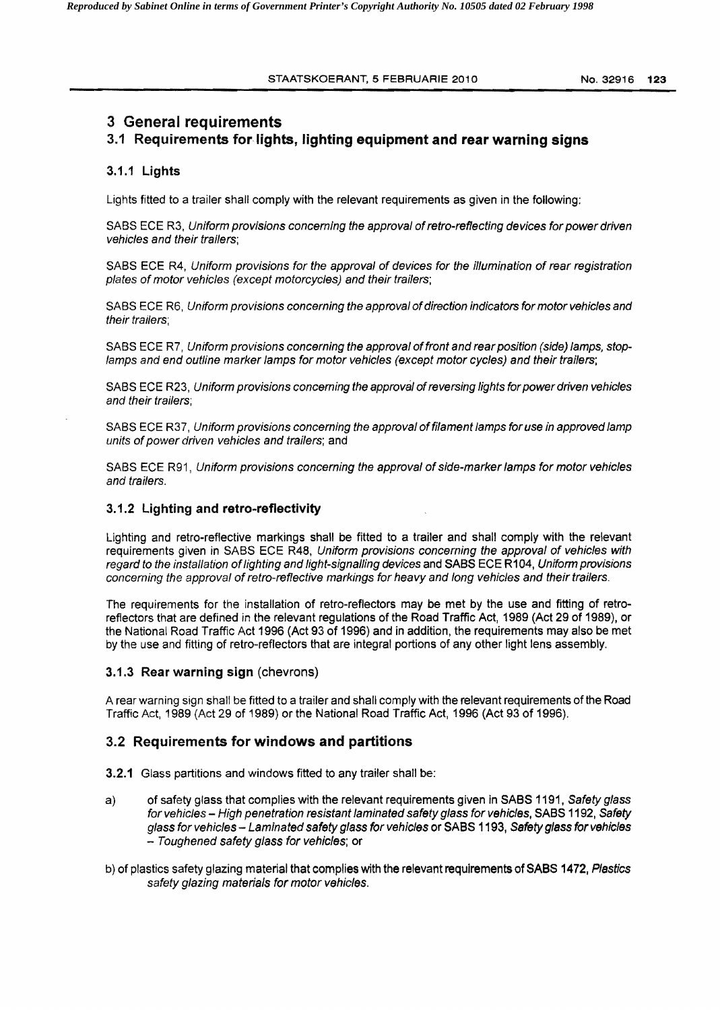## 3 General requirements

## 3.1 Requirements for lights, lighting equipment and rear warning signs

#### 3.1.1 Lights

Lights fitted to a trailer shall comply with the relevant requirements as given in the following:

SABS ECE R3. Uniform provisions concerning the approval of retro-reflecting devices for power driven vehicles and their trailers;

SABS ECE R4. Uniform provisions for the approval of devices for the illumination of rear registration plates of motor vehicles (except motorcycles) and their trailers;

SABS ECE R6. Uniform provisions concerning the approval of direction indicators for motor vehicles and their trailers;

lamps and end outline marker lamps for motor vehicles (except motor cycles) and their trailers; SABS ECE R7, Uniform provisions concerning the approval of front and rear position (side) lamps, stop-

and their trailers; SABS ECE R23, Uniform provisions concerning the approval of reversing lights for power driven vehicles

SABS ECE R37, Uniform provisions concerning the approval of filament lamps for use in approved lamp units of power driven vehicles and trailers; and

SABS ECE R91, Uniform provisions concerning the approval of side-marker lamps for motor vehicles and trailers.

#### 3.1.2 Lighting and retro-reflectivity

Lighting and retro-reflective markings shall be fitted to a trailer and shall comply with the relevant requirements given in SABS ECE R48, Uniform provisions concerning the approval of vehicles with regard to the installation oflighting and light-signalling devices and SABS ECE R104, Uniform provisions concerning the approval of retro-reflective markings for heavy and long vehicles and their trailers.

The requirements for the installation of retro-reflectors may be met by the use and fitting of retroreflectors that are defined in the relevant regulations of the Road Traffic Act, 1989 (Act 29 of 1989), or the National Road Traffic Act 1996 (Act 93 of 1996) and in addition, the requirements may also be met by the use and fitting of retro-reflectors that are integral portions of any other light lens assembly.

#### 3.1.3 Rear warning sign (chevrons)

A rear warning sign shall be fitted to a trailer and shall comply with the relevant requirements of the Road Traffic Act, 1989 (Act 29 of 1989) or the National Road Traffic Act, 1996 (Act 93 of 1996).

### 3.2 Requirements for windows and partitions

- 3.2.1 Glass partitions and windows fitted to any trailer shall be:
- a) of safety glass that complies with the relevant requirements given in SABS 1191, Safety glass for vehicles - High penetration resistant laminated safety glass for vehicles, SABS 1192, Safety glass for vehicles - Laminated safety glass for vehicles or SABS 1193, Safety glass for vehicles - Toughened safety glass for vehicles; or
- b) of plastics safety glazing material that complies with the relevant requirements of SABS 1472, Plastics safety glazing materials for motor vehicles.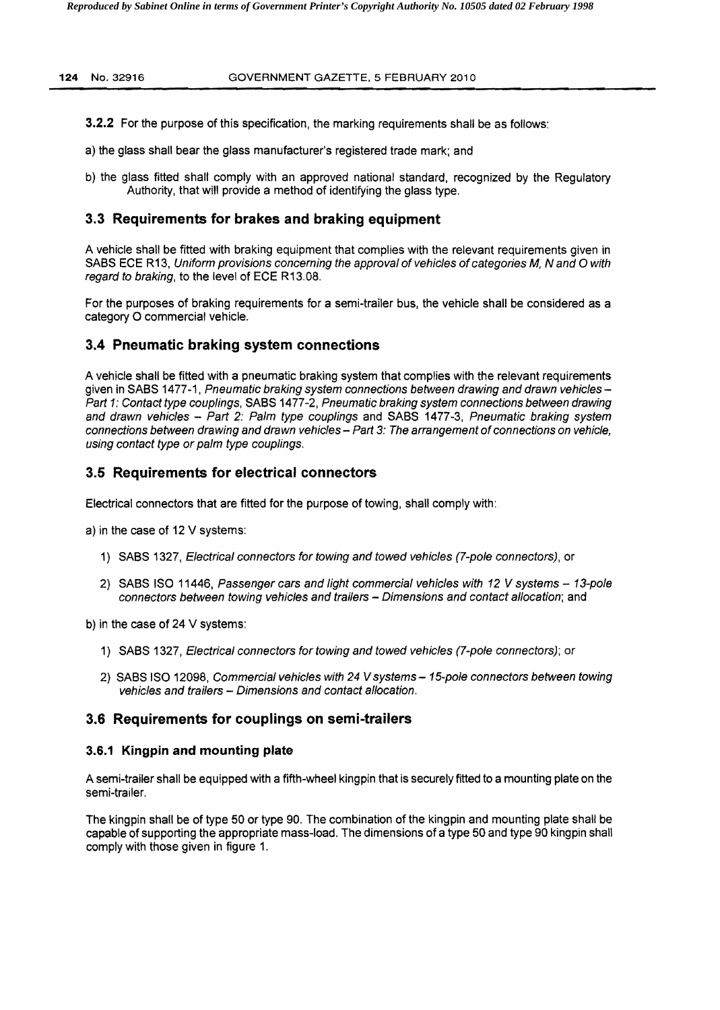- **3.2.2** For the purpose of this specification, the marking requirements shall be as follows:
- a) the glass shall bear the glass manufacturer's registered trade mark; and
- b) the glass fitted shall comply with an approved national standard, recognized by the Regulatory Authority, that will provide a method of identifying the glass type.

### **3.3 Requirements for brakes and braking equipment**

A vehicle shall be fitted with braking equipment that complies with the relevant requirements given in SABS ECE R13, Uniform provisions concerning the approval of vehicles of categories M, N and O with regard to braking, to the level of ECE R13.0S.

For the purposes of braking requirements for a semi-trailer bus, the vehicle shall be considered as a category 0 commercial vehicle.

## **3.4 Pneumatic braking system connections**

A vehicle shall be fitted with a pneumatic braking system that complies with the relevant requirements given in SABS 1477-1, Pneumatic braking system connections between drawing and drawn vehicles -Part 1: Contact type couplings, SABS 1477-2, Pneumatic braking system connections between drawing and drawn vehicles - Part 2: Palm type couplings and SABS 1477-3, Pneumatic braking system connections between drawing and drawn vehicles - Part 3: The arrangement of connections on vehicle, using contact type or palm type couplings.

## **3.5 Requirements for electrical connectors**

Electrical connectors that are fitted for the purpose of towing, shall comply with:

a) in the case of 12 V systems:

- 1) SASS 1327, Electrical connectors for towing and towed vehicles (7-pole connectors), or
- 2) SABS ISO 11446, Passenger cars and light commercial vehicles with 12 V systems 13-pole connectors between towing vehicles and trailers - Dimensions and contact allocation; and

b) in the case of 24 V systems:

- 1) SABS 1327, Electrical connectors for towing and towed vehicles (7-pole connectors); or
- 2) SABS ISO 12098, Commercial vehicles with 24 V systems 15-pole connectors between towing vehicles and trailers - Dimensions and contact allocation.

### **3.6 Requirements for couplings on semi-trailers**

#### **3.6.1 Kingpin and mounting plate**

A semi-trailer shall be equipped with a fifth-wheel kingpin that is securely fitted to a mounting plate on the semi-trailer.

The kingpin shall be of type 50 or type 90. The combination of the kingpin and mounting plate shall be capable of supporting the appropriate mass-load. The dimensions of a type 50 and type 90 kingpin shall comply with those given in figure 1.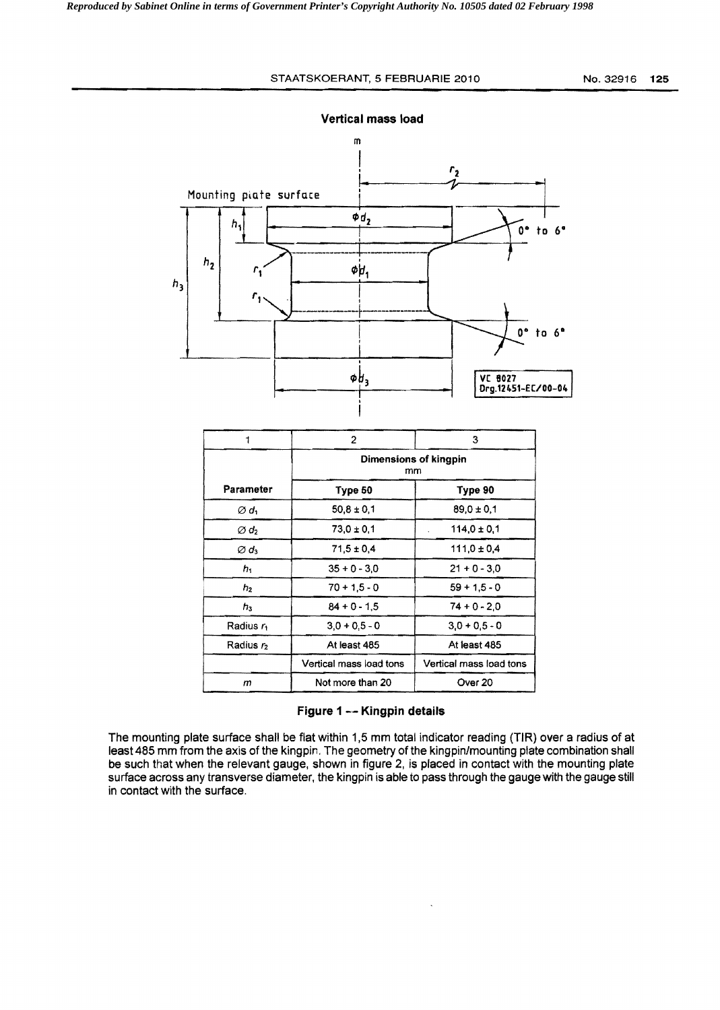#### STAATSKOERANT, 5 FEBRUARIE 2010 No. 32916 125



Vertical mass load

|                              | 2                                  | з                       |  |  |
|------------------------------|------------------------------------|-------------------------|--|--|
|                              | Dimensions of kingpin<br>mm        |                         |  |  |
| Parameter                    | Type 50                            | Type 90                 |  |  |
| Ød,                          | $50,8 \pm 0,1$                     | $89,0 \pm 0.1$          |  |  |
| $\varnothing$ d <sub>2</sub> | $73.0 \pm 0.1$                     | $114.0 \pm 0.1$         |  |  |
| Ød <sub>3</sub>              | $71.5 \pm 0.4$                     | $111.0 \pm 0.4$         |  |  |
| h,                           | $35 + 0 - 3.0$                     | $21 + 0 - 3.0$          |  |  |
| $h_2$                        | $70 + 1.5 - 0$                     | $59 + 1.5 - 0$          |  |  |
| $h_3$                        | $84 + 0 - 1.5$<br>$74 + 0 - 2.0$   |                         |  |  |
| Radius ri                    | $3.0 + 0.5 - 0$<br>$3.0 + 0.5 - 0$ |                         |  |  |
| Radius r <sub>2</sub>        | At least 485                       | At least 485            |  |  |
|                              | Vertical mass load tons            | Vertical mass load tons |  |  |
| m                            | Not more than 20                   | Over 20                 |  |  |

### Figure 1 -- Kingpin details

The mounting plate surface shall be flat within 1,5 mm total indicator reading (TIR) over a radius of at least 485 mm from the axis of the kingpin, The geometry of the kingpin/mounting plate combination shall be such that when the relevant gauge, shown in figure 2, is placed in contact with the mounting plate surface across any transverse diameter, the kingpin is able to pass through the gauge with the gauge still in contact with the surface.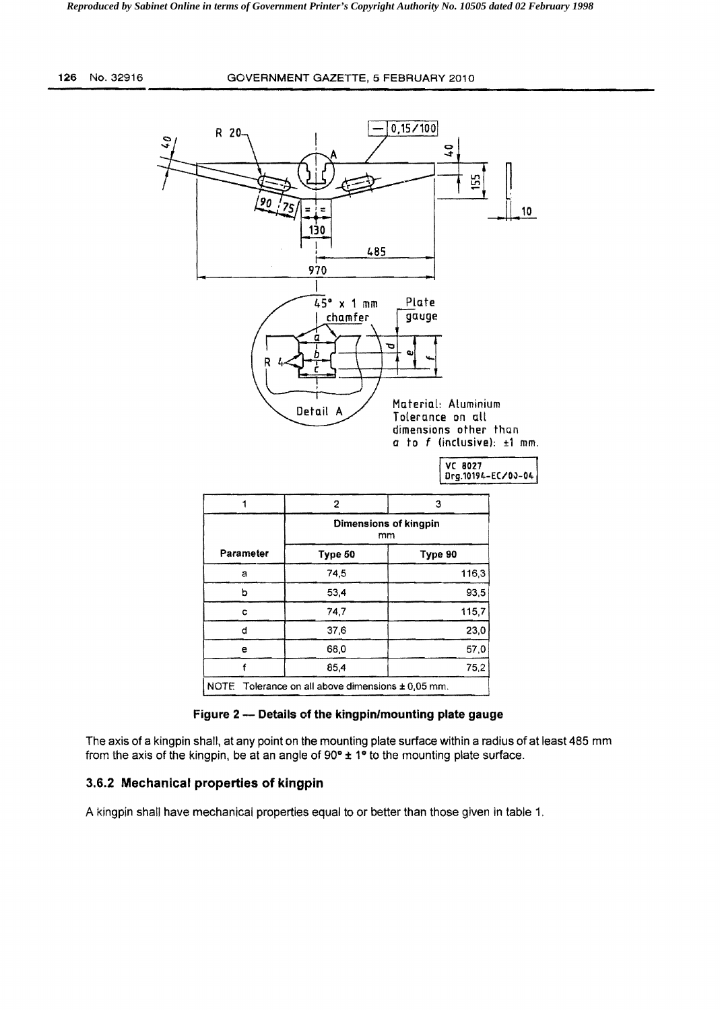

**Figure 2 - Details of the kingpin/mounting plate gauge** 

The axis of a kingpin shall. at any point on the mounting plate surface within a radius of at least 485 mm from the axis of the kingpin, be at an angle of  $90^\circ \pm 1^\circ$  to the mounting plate surface.

### 3.6.2 **Mechanical properties of kingpin**

A kingpin shall have mechanical properties equal to or better than those given in table 1,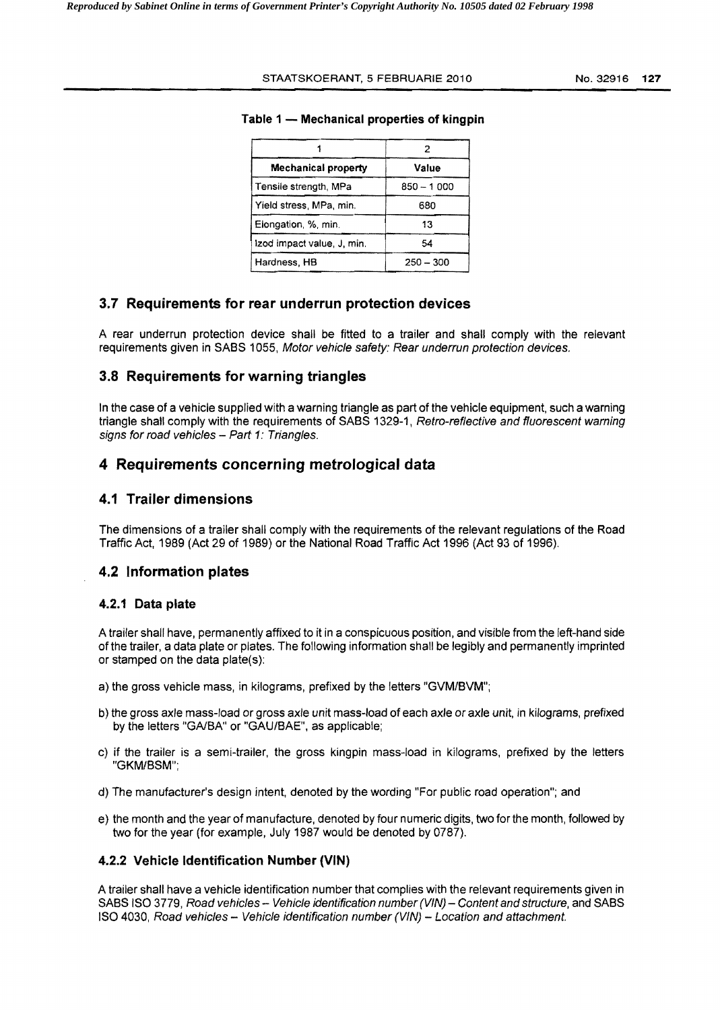#### STAATSKOERANT, 5 FEBRUARIE 2010 No.32916 **127**

| <b>Mechanical property</b> | Value       |  |  |  |
|----------------------------|-------------|--|--|--|
| Tensile strength, MPa      | 850 - 1000  |  |  |  |
| Yield stress, MPa, min.    | 680         |  |  |  |
| Elongation, %, min.        | 13          |  |  |  |
| Izod impact value, J. min. | 54          |  |  |  |
| Hardness, HB               | $250 - 300$ |  |  |  |

#### **Table 1 - Mechanical properties of kingpin**

### **3.7 Requirements for rear underrun protection devices**

A rear underrun protection device shall be fitted to a trailer and shall comply with the relevant requirements given in SABS 1055, Motor vehicle safety: Rear underrun protection devices.

### **3.8 Requirements for warning triangles**

In the case of a vehicle supplied with a warning triangle as part of the vehicle equipment, such a warning triangle shall comply with the requirements of SABS 1329-1, Retro-reflective and fluorescent warning signs for road vehicles  $-$  Part 1: Triangles.

### **4 Requirements concerning metrological data**

## **4.1 Trailer dimensions**

The dimensions of a trailer shall comply with the requirements of the relevant regulations of the Road Traffic Act, 1989 (Act 29 of 1989) or the National Road Traffic Act 1996 (Act 93 of 1996).

#### **4.2 Information plates**

#### **4.2.1 Data plate**

A trailer shall have, permanently affixed to it in a conspicuous position, and visible from the left-hand side of the trailer, a data plate or plates. The following information shall be legibly and permanently imprinted or stamped on the data plate(s):

- a) the gross vehicle mass, in kilograms, prefixed by the letters "GVM/SVM";
- b) the gross axle mass-load or gross axle unit mass-load of each axle or axle unit, in kilograms, prefixed by the letters "GA/BA" or "GAU/BAE", as applicable;
- c) if the trailer is a semi-trailer, the gross kingpin mass-load in kilograms, prefixed by the letters "GKM/SSM";
- d) The manufacturer's design intent, denoted by the wording "For public road operation"; and
- e) the month and the year of manufacture, denoted by four numeric digits, two for the month, followed by two for the year (for example, July 1987 would be denoted by 0787).

#### **4.2.2 Vehicle Identification Number (VIN)**

A trailer shall have a vehicle identification number that complies with the relevant requirements given in SABS ISO 3779, Road vehicles -- Vehicle identification number (VIN) -- Content and structure, and SABS ISO 4030, Road vehicles - Vehicle identification number (VIN) - Location and attachment.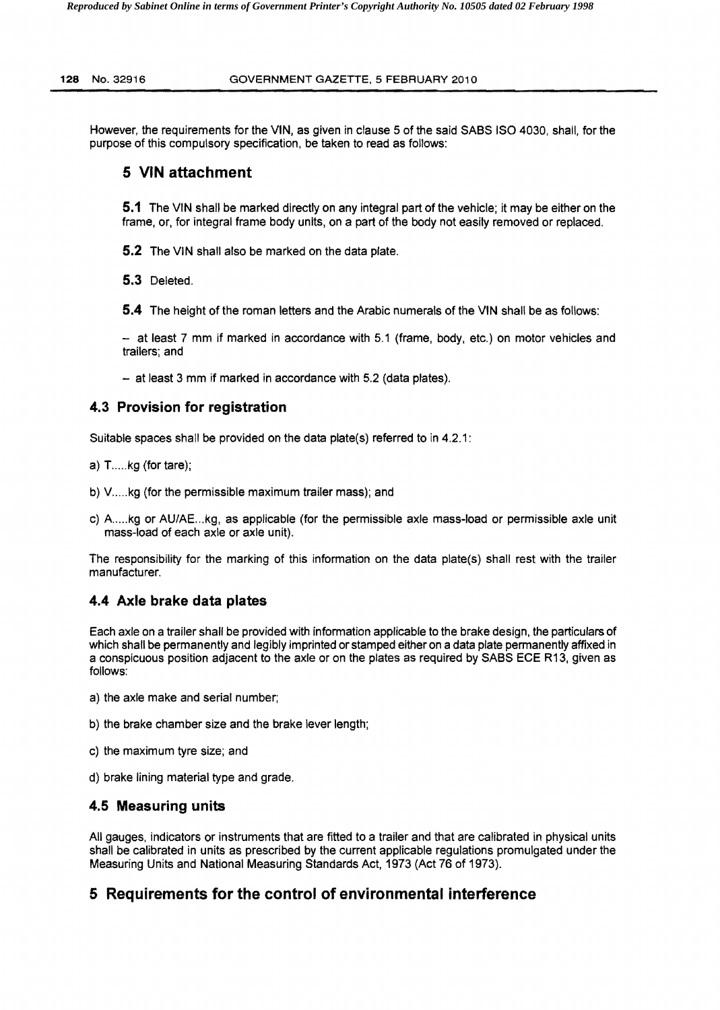However, the requirements for the VIN, as given in clause 5 of the said SABS ISO 4030, shall, for the purpose of this compulsory specification, be taken to read as follows:

## **5 VIN attachment**

**5.1** The VIN shall be marked directly on any integral part of the vehicle; it may be either on the frame, or, for integral frame body units, on a part of the body not easily removed or replaced.

**5.2** The VIN shall also be marked on the data plate.

**5.3** Deleted.

**5.4** The height of the roman letters and the Arabic numerals of the VIN shall be as follows:

- at least 7 mm if marked in accordance with 5.1 (frame, body, etc.) on motor vehicles and trailers; and

- at least 3 mm if marked in accordance with 5.2 (data plates).

## **4.3 Provision for registration**

Suitable spaces shall be provided on the data plate(s) referred to in 4.2.1:

- a) T....kg (for tare);
- b) V.....kg (for the permissible maximum trailer mass); and
- c) A ..... kg or AU/AE ... kg, as applicable (for the permissible axle mass-load or permissible axle unit mass-load of each axle or axle unit).

The responsibility for the marking of this information on the data plate(s) shall rest with the trailer manufacturer.

## **4.4 Axle brake data plates**

Each axle on a trailer shall be provided with information applicable to the brake design, the particulars of which shall be permanently and legibly imprinted or stamped either on a data plate permanently affixed in a conspicuous position adjacent to the axle or on the plates as required by SABS ECE R 13, given as follows:

- a) the axle make and serial number;
- b) the brake chamber size and the brake lever length;
- c) the maximum tyre size; and
- d) brake lining material type and grade.

## **4.5 Measuring units**

All gauges, indicators or instruments that are fitted to a trailer and that are calibrated in physical units shall be calibrated in units as prescribed by the current applicable regulations promulgated under the Measuring Units and National Measuring Standards Act, 1973 (Act 76 of 1973).

# **5 Requirements for the control of environmental interference**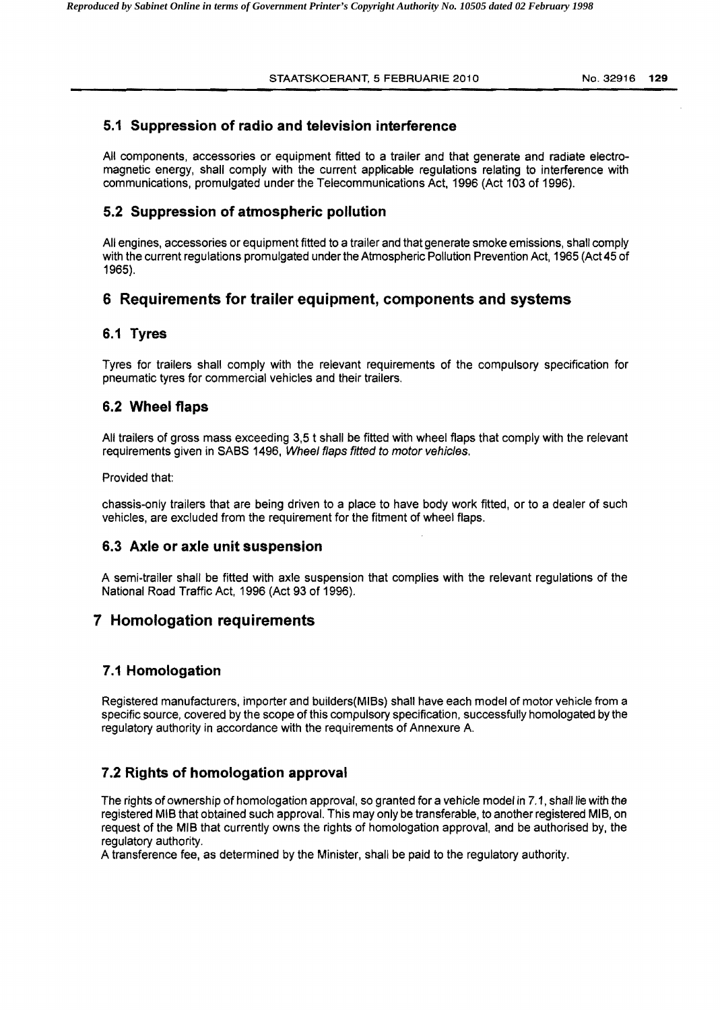## **5.1 Suppression of radio and television interference**

All components, accessories or equipment fitted to a trailer and that generate and radiate electromagnetic energy, shall comply with the current applicable regulations relating to interference with communications, promulgated under the Telecommunications Act, 1996 (Act 103 of 1996).

### **5.2 Suppression of atmospheric pollution**

All engines, accessories or equipment fitted to a trailer and that generate smoke emissions, shall comply with the current regulations promulgated under the Atmospheric Pollution Prevention Act, 1965 (Act 45 of 1965).

## **6 Requirements for trailer equipment, components and systems**

## **6.1 Tyres**

Tyres for trailers shall comply with the relevant requirements of the compulsory specification for pneumatic tyres for commercial vehicles and their trailers.

## **6.2 Wheel flaps**

All trailers of gross mass exceeding 3,5 t shall be fitted with wheel flaps that comply with the relevant requirements given in SABS 1496, Wheel flaps fitted to motor vehicles.

#### Provided that:

chassis-only trailers that are being driven to a place to have body work fitted, or to a dealer of such vehicles, are excluded from the requirement for the fitment of wheel flaps.

### **6.3 Axle or axle unit suspension**

A semi-trailer shall be fitted with axle suspension that complies with the relevant regulations of the National Road Traffic Act, 1996 (Act 93 of 1996).

## **7 Homologation requirements**

### **7.1 Homologation**

Registered manufacturers, importer and builders(MIBs) shall have each model of motor vehicle from a specific source, covered by the scope of this compulsory specification, successfully homologated by the regulatory authority in accordance with the requirements of Annexure A

## **7.2 Rights of homologation approval**

The rights of ownership of homologation approval, so granted for a vehicle model in 7.1, shall lie with the registered MIS that obtained such approval. This may only be transferable, to another registered MIS, on request of the MIS that currently owns the rights of homologation approval, and be authorised by, the regulatory authority.

A transference fee, as determined by the Minister, shall be paid to the regulatory authority.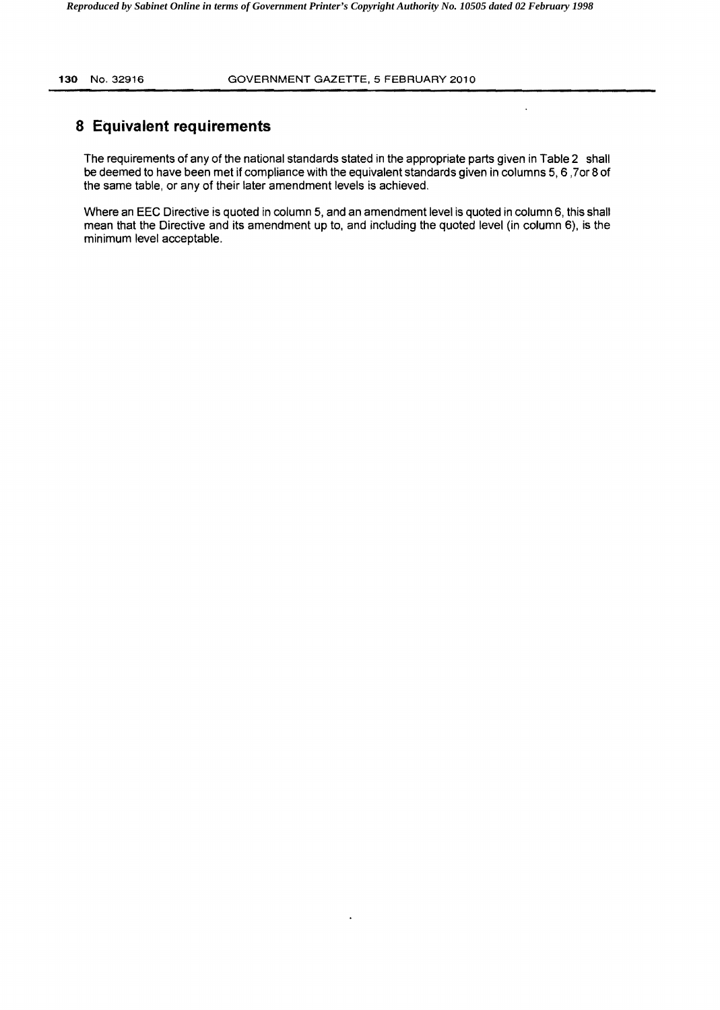$\ddot{\phantom{0}}$ 

# **8 Equivalent requirements**

The requirements of any of the national standards stated in the appropriate parts given in Table 2 shall be deemed to have been met if compliance with the equivalent standards given in columns 5, 6 ,70r 8 of the same table, or any of their later amendment levels is achieved.

Where an EEC Directive is quoted in column 5, and an amendment level is quoted in column 6, this shall mean that the Directive and its amendment up to, and including the quoted level (in column 6), is the minimum level acceptable.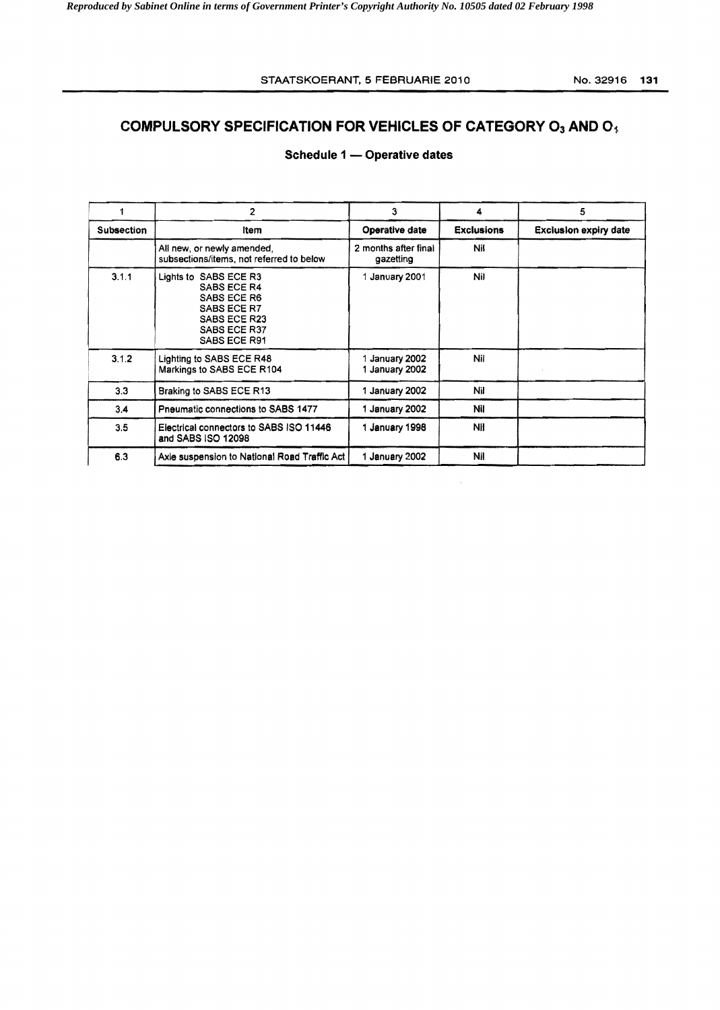# **COMPULSORY SPECIFICATION FOR VEHICLES OF CATEGORY O<sub>3</sub> AND O<sub>1</sub>.**

# Schedule 1 - Operative dates

| 1                 | 2                                                                                                                  | 3                                 | 4                 | 5                            |  |
|-------------------|--------------------------------------------------------------------------------------------------------------------|-----------------------------------|-------------------|------------------------------|--|
| <b>Subsection</b> | Item                                                                                                               | Operative date                    | <b>Exclusions</b> | <b>Exclusion expiry date</b> |  |
|                   | All new, or newly amended,<br>subsections/items, not referred to below                                             | 2 months after final<br>gazetting | Nil               |                              |  |
| 3.1.1             | Lights to SABS ECE R3<br>SABS ECE R4<br>SABS ECE R6<br>SABS ECE R7<br>SABS ECE R23<br>SABS ECE R37<br>SABS ECE R91 | 1 January 2001                    | Nil               |                              |  |
| 3.1.2             | Lighting to SABS ECE R48<br>Markings to SABS ECE R104                                                              | 1 January 2002<br>1 January 2002  | Nil               |                              |  |
| 3.3               | Braking to SABS ECE R13                                                                                            | 1 January 2002                    | Nil               |                              |  |
| 3.4               | Pneumatic connections to SABS 1477                                                                                 | 1 January 2002                    | Nil               |                              |  |
| 3.5               | Electrical connectors to SABS ISO 11446<br>and SABS ISO 12098                                                      | 1 January 1998                    | NII               |                              |  |
| 6.3               | Axle suspension to National Road Traffic Act                                                                       | 1 January 2002                    | Nil               |                              |  |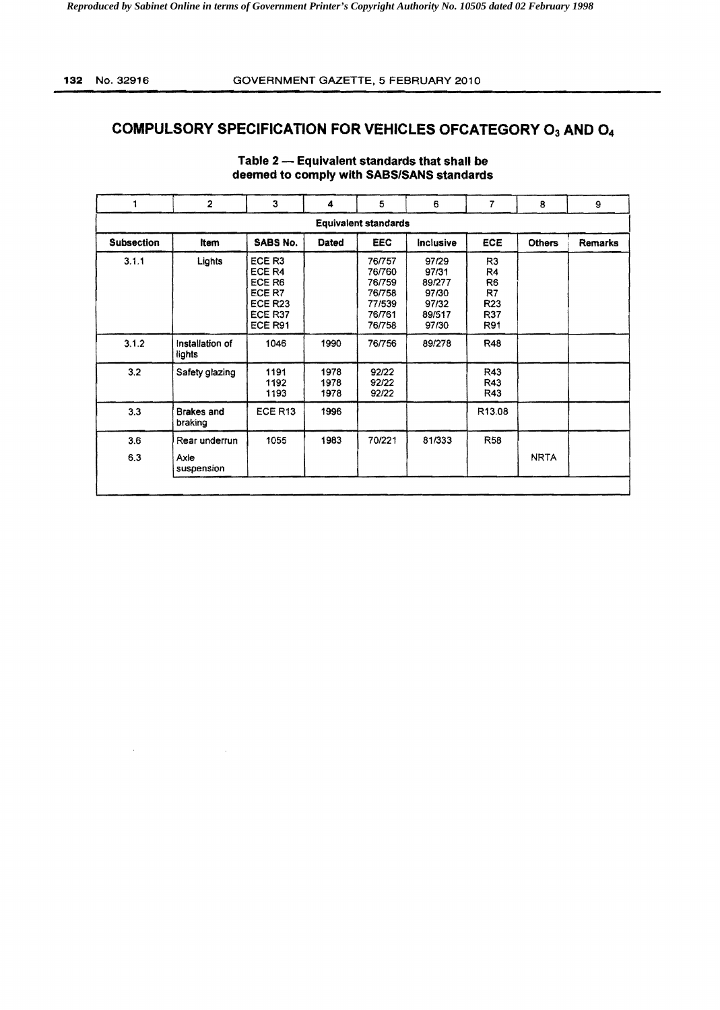$\lambda$ 

# **COMPULSORY SPECIFICATION FOR VEHICLES OFCATEGORY O3 AND O4**

|                             | $\overline{2}$               | 3                                                                     | 4                    | 5                                                                  | 6                                                             | $\overline{7}$                                                                | 8             | 9       |
|-----------------------------|------------------------------|-----------------------------------------------------------------------|----------------------|--------------------------------------------------------------------|---------------------------------------------------------------|-------------------------------------------------------------------------------|---------------|---------|
| <b>Equivalent standards</b> |                              |                                                                       |                      |                                                                    |                                                               |                                                                               |               |         |
| <b>Subsection</b>           | Item                         | <b>SABS No.</b>                                                       | Dated                | <b>EEC</b>                                                         | <b>Inclusive</b>                                              | ECE                                                                           | <b>Others</b> | Remarks |
| 3.1.1                       | Lights                       | ECE R3<br>ECE R4<br>ECE R6<br>ECE R7<br>ECE R23<br>ECE R37<br>ECE R91 |                      | 76/757<br>76/760<br>76/759<br>76/758<br>77/539<br>76/761<br>76/758 | 97/29<br>97/31<br>89/277<br>97/30<br>97/32<br>89/517<br>97/30 | R3<br>R <sub>4</sub><br>R <sub>6</sub><br>R7<br>R <sub>23</sub><br>R37<br>R91 |               |         |
| 3.1.2                       | Installation of<br>lights    | 1046                                                                  | 1990                 | 76/756                                                             | 89/278                                                        | <b>R48</b>                                                                    |               |         |
| 3.2                         | Safety glazing               | 1191<br>1192<br>1193                                                  | 1978<br>1978<br>1978 | 92/22<br>92/22<br>92/22                                            |                                                               | R43<br>R43<br>R43                                                             |               |         |
| 3.3                         | <b>Brakes</b> and<br>braking | ECE R <sub>13</sub>                                                   | 1996                 |                                                                    |                                                               | R <sub>13.08</sub>                                                            |               |         |
| 3.6                         | Rear underrun                | 1055                                                                  | 1983                 | 70/221                                                             | 81/333                                                        | <b>R58</b>                                                                    |               |         |
| 6.3                         | Axle<br>suspension           |                                                                       |                      |                                                                    |                                                               |                                                                               | <b>NRTA</b>   |         |

### Table 2 - Equivalent standards that shall be deemed to comply with SABS/SANS standards